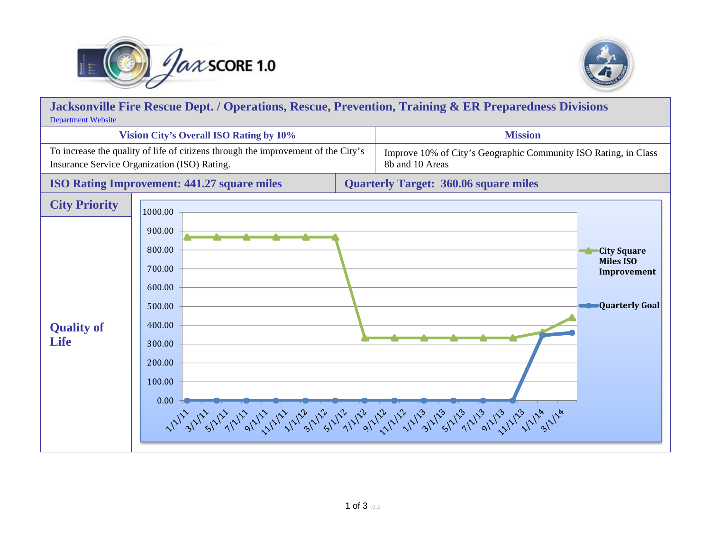



| Jacksonville Fire Rescue Dept. / Operations, Rescue, Prevention, Training & ER Preparedness Divisions<br><b>Department Website</b> |                                                                                                           |  |                                                                                    |                               |  |
|------------------------------------------------------------------------------------------------------------------------------------|-----------------------------------------------------------------------------------------------------------|--|------------------------------------------------------------------------------------|-------------------------------|--|
| <b>Vision City's Overall ISO Rating by 10%</b>                                                                                     |                                                                                                           |  | <b>Mission</b>                                                                     |                               |  |
| To increase the quality of life of citizens through the improvement of the City's<br>Insurance Service Organization (ISO) Rating.  |                                                                                                           |  | Improve 10% of City's Geographic Community ISO Rating, in Class<br>8b and 10 Areas |                               |  |
| <b>ISO Rating Improvement: 441.27 square miles</b>                                                                                 |                                                                                                           |  | <b>Quarterly Target: 360.06 square miles</b>                                       |                               |  |
| <b>City Priority</b><br><b>Quality of</b><br><b>Life</b>                                                                           | 1000.00<br>900.00<br>800.00<br>700.00<br>600.00<br>500.00<br>400.00<br>300.00<br>200.00<br>100.00<br>0.00 |  | <b>City Square</b><br><b>Miles ISO</b>                                             | Improvement<br>Quarterly Goal |  |
|                                                                                                                                    |                                                                                                           |  |                                                                                    |                               |  |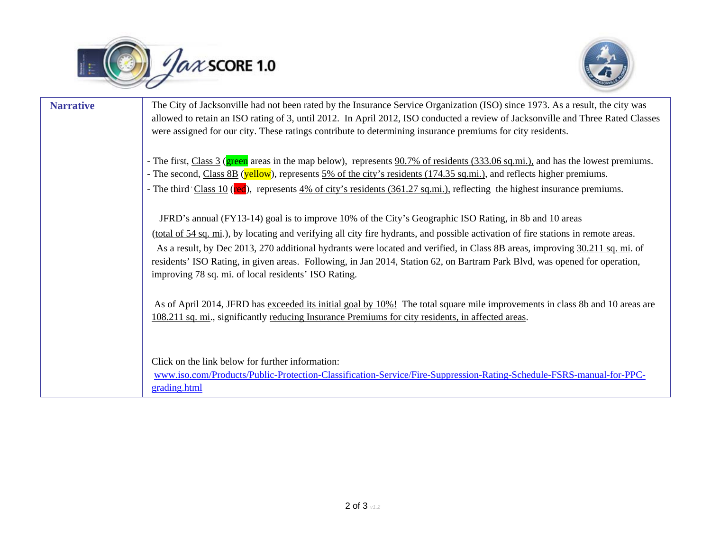



| <b>Narrative</b> | The City of Jacksonville had not been rated by the Insurance Service Organization (ISO) since 1973. As a result, the city was<br>allowed to retain an ISO rating of 3, until 2012. In April 2012, ISO conducted a review of Jacksonville and Three Rated Classes<br>were assigned for our city. These ratings contribute to determining insurance premiums for city residents.                                                                                                                                                                                    |
|------------------|-------------------------------------------------------------------------------------------------------------------------------------------------------------------------------------------------------------------------------------------------------------------------------------------------------------------------------------------------------------------------------------------------------------------------------------------------------------------------------------------------------------------------------------------------------------------|
|                  | - The first, Class 3 (green areas in the map below), represents 90.7% of residents (333.06 sq.mi.), and has the lowest premiums.<br>- The second, Class 8B (yellow), represents 5% of the city's residents (174.35 sq.mi.), and reflects higher premiums.<br>- The third $\text{Class } 10$ (red), represents $4\%$ of city's residents (361.27 sq.mi.), reflecting the highest insurance premiums.                                                                                                                                                               |
|                  | JFRD's annual (FY13-14) goal is to improve 10% of the City's Geographic ISO Rating, in 8b and 10 areas<br>(total of 54 sq. mi.), by locating and verifying all city fire hydrants, and possible activation of fire stations in remote areas.<br>As a result, by Dec 2013, 270 additional hydrants were located and verified, in Class 8B areas, improving 30.211 sq. mi. of<br>residents' ISO Rating, in given areas. Following, in Jan 2014, Station 62, on Bartram Park Blvd, was opened for operation,<br>improving 78 sq. mi. of local residents' ISO Rating. |
|                  | As of April 2014, JFRD has exceeded its initial goal by 10%! The total square mile improvements in class 8b and 10 areas are<br>108.211 sq. mi., significantly reducing Insurance Premiums for city residents, in affected areas.                                                                                                                                                                                                                                                                                                                                 |
|                  | Click on the link below for further information:<br>www.iso.com/Products/Public-Protection-Classification-Service/Fire-Suppression-Rating-Schedule-FSRS-manual-for-PPC-<br>grading.html                                                                                                                                                                                                                                                                                                                                                                           |